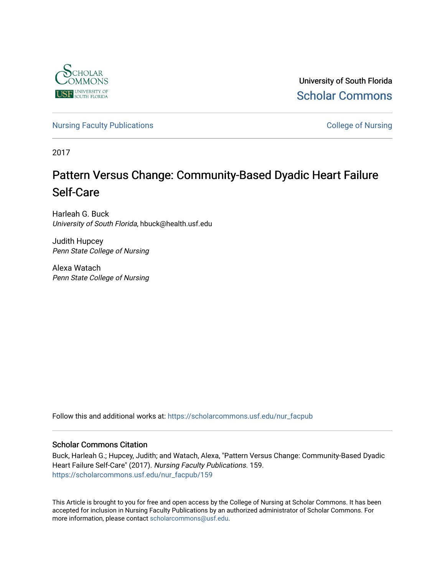

University of South Florida [Scholar Commons](https://scholarcommons.usf.edu/) 

[Nursing Faculty Publications](https://scholarcommons.usf.edu/nur_facpub) **College of Nursing** 

2017

## Pattern Versus Change: Community-Based Dyadic Heart Failure Self-Care

Harleah G. Buck University of South Florida, hbuck@health.usf.edu

Judith Hupcey Penn State College of Nursing

Alexa Watach Penn State College of Nursing

Follow this and additional works at: [https://scholarcommons.usf.edu/nur\\_facpub](https://scholarcommons.usf.edu/nur_facpub?utm_source=scholarcommons.usf.edu%2Fnur_facpub%2F159&utm_medium=PDF&utm_campaign=PDFCoverPages) 

## Scholar Commons Citation

Buck, Harleah G.; Hupcey, Judith; and Watach, Alexa, "Pattern Versus Change: Community-Based Dyadic Heart Failure Self-Care" (2017). Nursing Faculty Publications. 159. [https://scholarcommons.usf.edu/nur\\_facpub/159](https://scholarcommons.usf.edu/nur_facpub/159?utm_source=scholarcommons.usf.edu%2Fnur_facpub%2F159&utm_medium=PDF&utm_campaign=PDFCoverPages) 

This Article is brought to you for free and open access by the College of Nursing at Scholar Commons. It has been accepted for inclusion in Nursing Faculty Publications by an authorized administrator of Scholar Commons. For more information, please contact [scholarcommons@usf.edu](mailto:scholarcommons@usf.edu).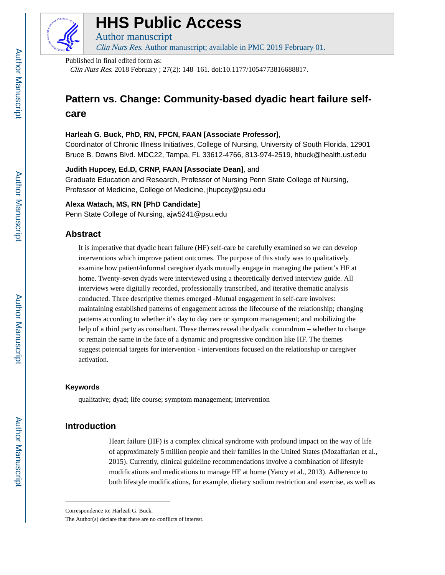

# **HHS Public Access**

Author manuscript

Clin Nurs Res. Author manuscript; available in PMC 2019 February 01.

Published in final edited form as:

Clin Nurs Res. 2018 February ; 27(2): 148–161. doi:10.1177/1054773816688817.

## **Pattern vs. Change: Community-based dyadic heart failure selfcare**

## **Harleah G. Buck, PhD, RN, FPCN, FAAN [Associate Professor]**,

Coordinator of Chronic Illness Initiatives, College of Nursing, University of South Florida, 12901 Bruce B. Downs Blvd. MDC22, Tampa, FL 33612-4766, 813-974-2519, hbuck@health.usf.edu

## **Judith Hupcey, Ed.D, CRNP, FAAN [Associate Dean]**, and

Graduate Education and Research, Professor of Nursing Penn State College of Nursing, Professor of Medicine, College of Medicine, jhupcey@psu.edu

## **Alexa Watach, MS, RN [PhD Candidate]**

Penn State College of Nursing, ajw5241@psu.edu

## **Abstract**

It is imperative that dyadic heart failure (HF) self-care be carefully examined so we can develop interventions which improve patient outcomes. The purpose of this study was to qualitatively examine how patient/informal caregiver dyads mutually engage in managing the patient's HF at home. Twenty-seven dyads were interviewed using a theoretically derived interview guide. All interviews were digitally recorded, professionally transcribed, and iterative thematic analysis conducted. Three descriptive themes emerged -Mutual engagement in self-care involves: maintaining established patterns of engagement across the lifecourse of the relationship; changing patterns according to whether it's day to day care or symptom management; and mobilizing the help of a third party as consultant. These themes reveal the dyadic conundrum – whether to change or remain the same in the face of a dynamic and progressive condition like HF. The themes suggest potential targets for intervention - interventions focused on the relationship or caregiver activation.

## **Keywords**

qualitative; dyad; life course; symptom management; intervention

## **Introduction**

Heart failure (HF) is a complex clinical syndrome with profound impact on the way of life of approximately 5 million people and their families in the United States (Mozaffarian et al., 2015). Currently, clinical guideline recommendations involve a combination of lifestyle modifications and medications to manage HF at home (Yancy et al., 2013). Adherence to both lifestyle modifications, for example, dietary sodium restriction and exercise, as well as

Correspondence to: Harleah G. Buck.

The Author(s) declare that there are no conflicts of interest.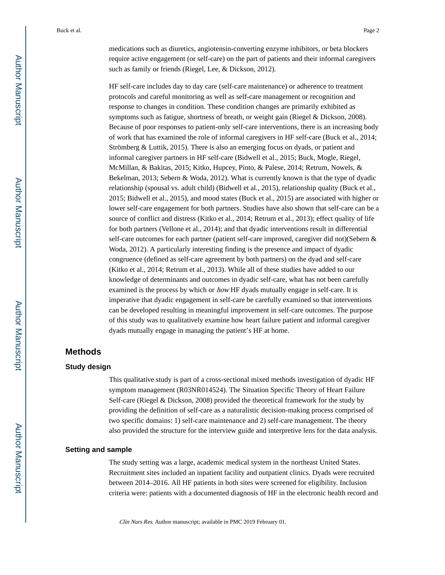medications such as diuretics, angiotensin-converting enzyme inhibitors, or beta blockers require active engagement (or self-care) on the part of patients and their informal caregivers such as family or friends (Riegel, Lee, & Dickson, 2012).

HF self-care includes day to day care (self-care maintenance) or adherence to treatment protocols and careful monitoring as well as self-care management or recognition and response to changes in condition. These condition changes are primarily exhibited as symptoms such as fatigue, shortness of breath, or weight gain (Riegel & Dickson, 2008). Because of poor responses to patient-only self-care interventions, there is an increasing body of work that has examined the role of informal caregivers in HF self-care (Buck et al., 2014; Strömberg & Luttik, 2015). There is also an emerging focus on dyads, or patient and informal caregiver partners in HF self-care (Bidwell et al., 2015; Buck, Mogle, Riegel, McMillan, & Bakitas, 2015; Kitko, Hupcey, Pinto, & Palese, 2014; Retrum, Nowels, & Bekelman, 2013; Sebern & Woda, 2012). What is currently known is that the type of dyadic relationship (spousal vs. adult child) (Bidwell et al., 2015), relationship quality (Buck et al., 2015; Bidwell et al., 2015), and mood states (Buck et al., 2015) are associated with higher or lower self-care engagement for both partners. Studies have also shown that self-care can be a source of conflict and distress (Kitko et al., 2014; Retrum et al., 2013); effect quality of life for both partners (Vellone et al., 2014); and that dyadic interventions result in differential self-care outcomes for each partner (patient self-care improved, caregiver did not)(Sebern & Woda, 2012). A particularly interesting finding is the presence and impact of dyadic congruence (defined as self-care agreement by both partners) on the dyad and self-care (Kitko et al., 2014; Retrum et al., 2013). While all of these studies have added to our knowledge of determinants and outcomes in dyadic self-care, what has not been carefully examined is the process by which or *how* HF dyads mutually engage in self-care. It is imperative that dyadic engagement in self-care be carefully examined so that interventions can be developed resulting in meaningful improvement in self-care outcomes. The purpose of this study was to qualitatively examine how heart failure patient and informal caregiver dyads mutually engage in managing the patient's HF at home.

## **Methods**

#### **Study design**

This qualitative study is part of a cross-sectional mixed methods investigation of dyadic HF symptom management (R03NR014524). The Situation Specific Theory of Heart Failure Self-care (Riegel & Dickson, 2008) provided the theoretical framework for the study by providing the definition of self-care as a naturalistic decision-making process comprised of two specific domains: 1) self-care maintenance and 2) self-care management. The theory also provided the structure for the interview guide and interpretive lens for the data analysis.

#### **Setting and sample**

The study setting was a large, academic medical system in the northeast United States. Recruitment sites included an inpatient facility and outpatient clinics. Dyads were recruited between 2014–2016. All HF patients in both sites were screened for eligibility. Inclusion criteria were: patients with a documented diagnosis of HF in the electronic health record and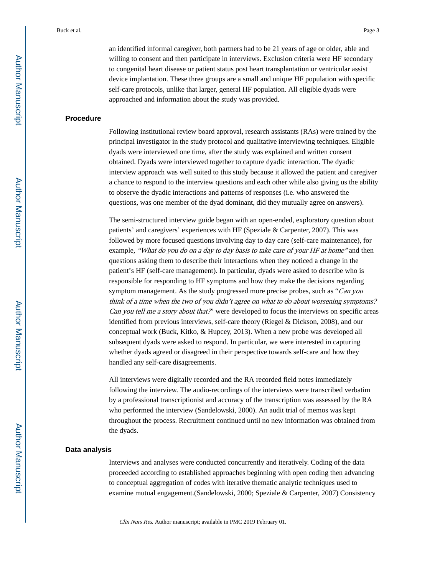an identified informal caregiver, both partners had to be 21 years of age or older, able and willing to consent and then participate in interviews. Exclusion criteria were HF secondary to congenital heart disease or patient status post heart transplantation or ventricular assist device implantation. These three groups are a small and unique HF population with specific self-care protocols, unlike that larger, general HF population. All eligible dyads were approached and information about the study was provided.

#### **Procedure**

Following institutional review board approval, research assistants (RAs) were trained by the principal investigator in the study protocol and qualitative interviewing techniques. Eligible dyads were interviewed one time, after the study was explained and written consent obtained. Dyads were interviewed together to capture dyadic interaction. The dyadic interview approach was well suited to this study because it allowed the patient and caregiver a chance to respond to the interview questions and each other while also giving us the ability to observe the dyadic interactions and patterns of responses (i.e. who answered the questions, was one member of the dyad dominant, did they mutually agree on answers).

The semi-structured interview guide began with an open-ended, exploratory question about patients' and caregivers' experiences with HF (Speziale & Carpenter, 2007). This was followed by more focused questions involving day to day care (self-care maintenance), for example, "What do you do on a day to day basis to take care of your HF at home" and then questions asking them to describe their interactions when they noticed a change in the patient's HF (self-care management). In particular, dyads were asked to describe who is responsible for responding to HF symptoms and how they make the decisions regarding symptom management. As the study progressed more precise probes, such as "Can you think of a time when the two of you didn't agree on what to do about worsening symptoms? Can you tell me a story about that?' were developed to focus the interviews on specific areas identified from previous interviews, self-care theory (Riegel & Dickson, 2008), and our conceptual work (Buck, Kitko, & Hupcey, 2013). When a new probe was developed all subsequent dyads were asked to respond. In particular, we were interested in capturing whether dyads agreed or disagreed in their perspective towards self-care and how they handled any self-care disagreements.

All interviews were digitally recorded and the RA recorded field notes immediately following the interview. The audio-recordings of the interviews were transcribed verbatim by a professional transcriptionist and accuracy of the transcription was assessed by the RA who performed the interview (Sandelowski, 2000). An audit trial of memos was kept throughout the process. Recruitment continued until no new information was obtained from the dyads.

#### **Data analysis**

Interviews and analyses were conducted concurrently and iteratively. Coding of the data proceeded according to established approaches beginning with open coding then advancing to conceptual aggregation of codes with iterative thematic analytic techniques used to examine mutual engagement.(Sandelowski, 2000; Speziale & Carpenter, 2007) Consistency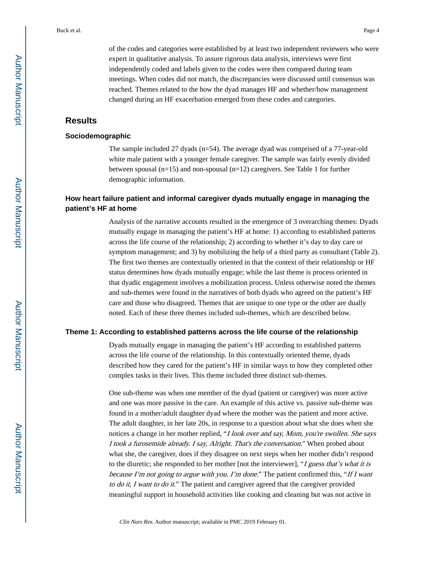of the codes and categories were established by at least two independent reviewers who were expert in qualitative analysis. To assure rigorous data analysis, interviews were first independently coded and labels given to the codes were then compared during team meetings. When codes did not match, the discrepancies were discussed until consensus was reached. Themes related to the how the dyad manages HF and whether/how management changed during an HF exacerbation emerged from these codes and categories.

## **Results**

#### **Sociodemographic**

The sample included 27 dyads (n=54). The average dyad was comprised of a 77-year-old white male patient with a younger female caregiver. The sample was fairly evenly divided between spousal  $(n=15)$  and non-spousal  $(n=12)$  caregivers. See Table 1 for further demographic information.

## **How heart failure patient and informal caregiver dyads mutually engage in managing the patient's HF at home**

Analysis of the narrative accounts resulted in the emergence of 3 overarching themes: Dyads mutually engage in managing the patient's HF at home: 1) according to established patterns across the life course of the relationship; 2) according to whether it's day to day care or symptom management; and 3) by mobilizing the help of a third party as consultant (Table 2). The first two themes are contextually oriented in that the context of their relationship or HF status determines how dyads mutually engage; while the last theme is process oriented in that dyadic engagement involves a mobilization process. Unless otherwise noted the themes and sub-themes were found in the narratives of both dyads who agreed on the patient's HF care and those who disagreed. Themes that are unique to one type or the other are dually noted. Each of these three themes included sub-themes, which are described below.

#### **Theme 1: According to established patterns across the life course of the relationship**

Dyads mutually engage in managing the patient's HF according to established patterns across the life course of the relationship. In this contextually oriented theme, dyads described how they cared for the patient's HF in similar ways to how they completed other complex tasks in their lives. This theme included three distinct sub-themes.

One sub-theme was when one member of the dyad (patient or caregiver) was more active and one was more passive in the care. An example of this active vs. passive sub-theme was found in a mother/adult daughter dyad where the mother was the patient and more active. The adult daughter, in her late 20s, in response to a question about what she does when she notices a change in her mother replied, "I look over and say, Mom, you're swollen. She says I took a furosemide already. I say, Alright. That's the conversation." When probed about what she, the caregiver, does if they disagree on next steps when her mother didn't respond to the diuretic; she responded to her mother [not the interviewer], "I guess that's what it is because I'm not going to argue with you. I'm done." The patient confirmed this, "If I want to do it, I want to do it." The patient and caregiver agreed that the caregiver provided meaningful support in household activities like cooking and cleaning but was not active in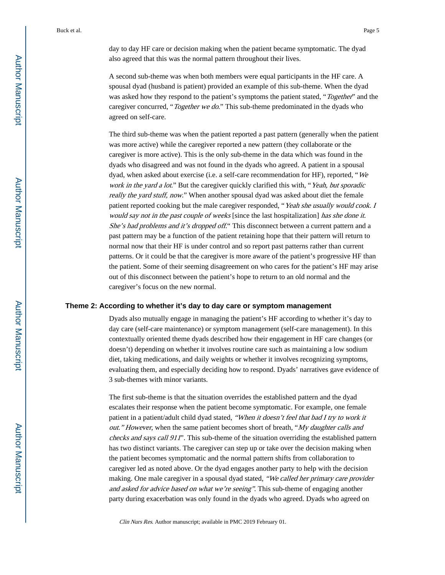day to day HF care or decision making when the patient became symptomatic. The dyad also agreed that this was the normal pattern throughout their lives.

A second sub-theme was when both members were equal participants in the HF care. A spousal dyad (husband is patient) provided an example of this sub-theme. When the dyad was asked how they respond to the patient's symptoms the patient stated, "Together" and the caregiver concurred, "Together we do." This sub-theme predominated in the dyads who agreed on self-care.

The third sub-theme was when the patient reported a past pattern (generally when the patient was more active) while the caregiver reported a new pattern (they collaborate or the caregiver is more active). This is the only sub-theme in the data which was found in the dyads who disagreed and was not found in the dyads who agreed. A patient in a spousal dyad, when asked about exercise (i.e. a self-care recommendation for HF), reported, "We work in the yard a lot." But the caregiver quickly clarified this with, "Yeah, but sporadic really the yard stuff, now." When another spousal dyad was asked about diet the female patient reported cooking but the male caregiver responded, "Yeah she usually would cook. I would say not in the past couple of weeks [since the last hospitalization] has she done it. She's had problems and it's dropped off." This disconnect between a current pattern and a past pattern may be a function of the patient retaining hope that their pattern will return to normal now that their HF is under control and so report past patterns rather than current patterns. Or it could be that the caregiver is more aware of the patient's progressive HF than the patient. Some of their seeming disagreement on who cares for the patient's HF may arise out of this disconnect between the patient's hope to return to an old normal and the caregiver's focus on the new normal.

#### **Theme 2: According to whether it's day to day care or symptom management**

Dyads also mutually engage in managing the patient's HF according to whether it's day to day care (self-care maintenance) or symptom management (self-care management). In this contextually oriented theme dyads described how their engagement in HF care changes (or doesn't) depending on whether it involves routine care such as maintaining a low sodium diet, taking medications, and daily weights or whether it involves recognizing symptoms, evaluating them, and especially deciding how to respond. Dyads' narratives gave evidence of 3 sub-themes with minor variants.

The first sub-theme is that the situation overrides the established pattern and the dyad escalates their response when the patient become symptomatic. For example, one female patient in a patient/adult child dyad stated, "When it doesn't feel that bad I try to work it out." However, when the same patient becomes short of breath, "My daughter calls and checks and says call 911". This sub-theme of the situation overriding the established pattern has two distinct variants. The caregiver can step up or take over the decision making when the patient becomes symptomatic and the normal pattern shifts from collaboration to caregiver led as noted above. Or the dyad engages another party to help with the decision making. One male caregiver in a spousal dyad stated, "We called her primary care provider and asked for advice based on what we're seeing". This sub-theme of engaging another party during exacerbation was only found in the dyads who agreed. Dyads who agreed on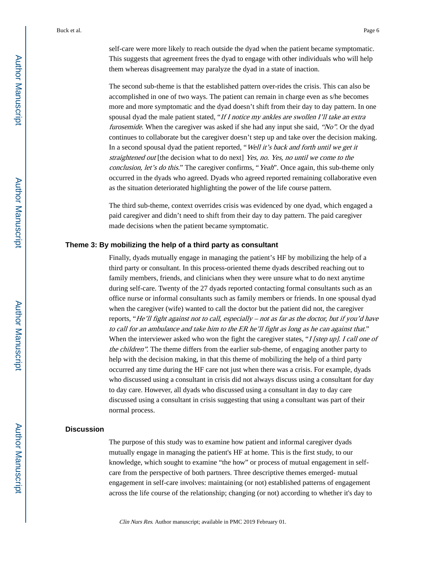self-care were more likely to reach outside the dyad when the patient became symptomatic. This suggests that agreement frees the dyad to engage with other individuals who will help them whereas disagreement may paralyze the dyad in a state of inaction.

The second sub-theme is that the established pattern over-rides the crisis. This can also be accomplished in one of two ways. The patient can remain in charge even as s/he becomes more and more symptomatic and the dyad doesn't shift from their day to day pattern. In one spousal dyad the male patient stated, "If I notice my ankles are swollen I'll take an extra furosemide. When the caregiver was asked if she had any input she said, "No". Or the dyad continues to collaborate but the caregiver doesn't step up and take over the decision making. In a second spousal dyad the patient reported, "Well it's back and forth until we get it straightened out [the decision what to do next] Yes, no. Yes, no until we come to the conclusion, let's do this." The caregiver confirms, "Yeah". Once again, this sub-theme only occurred in the dyads who agreed. Dyads who agreed reported remaining collaborative even as the situation deteriorated highlighting the power of the life course pattern.

The third sub-theme, context overrides crisis was evidenced by one dyad, which engaged a paid caregiver and didn't need to shift from their day to day pattern. The paid caregiver made decisions when the patient became symptomatic.

#### **Theme 3: By mobilizing the help of a third party as consultant**

Finally, dyads mutually engage in managing the patient's HF by mobilizing the help of a third party or consultant. In this process-oriented theme dyads described reaching out to family members, friends, and clinicians when they were unsure what to do next anytime during self-care. Twenty of the 27 dyads reported contacting formal consultants such as an office nurse or informal consultants such as family members or friends. In one spousal dyad when the caregiver (wife) wanted to call the doctor but the patient did not, the caregiver reports, "He'll fight against not to call, especially – not as far as the doctor, but if you'd have to call for an ambulance and take him to the ER he'll fight as long as he can against that." When the interviewer asked who won the fight the caregiver states, "I [step up]. I call one of the children". The theme differs from the earlier sub-theme, of engaging another party to help with the decision making, in that this theme of mobilizing the help of a third party occurred any time during the HF care not just when there was a crisis. For example, dyads who discussed using a consultant in crisis did not always discuss using a consultant for day to day care. However, all dyads who discussed using a consultant in day to day care discussed using a consultant in crisis suggesting that using a consultant was part of their normal process.

#### **Discussion**

The purpose of this study was to examine how patient and informal caregiver dyads mutually engage in managing the patient's HF at home. This is the first study, to our knowledge, which sought to examine "the how" or process of mutual engagement in selfcare from the perspective of both partners. Three descriptive themes emerged- mutual engagement in self-care involves: maintaining (or not) established patterns of engagement across the life course of the relationship; changing (or not) according to whether it's day to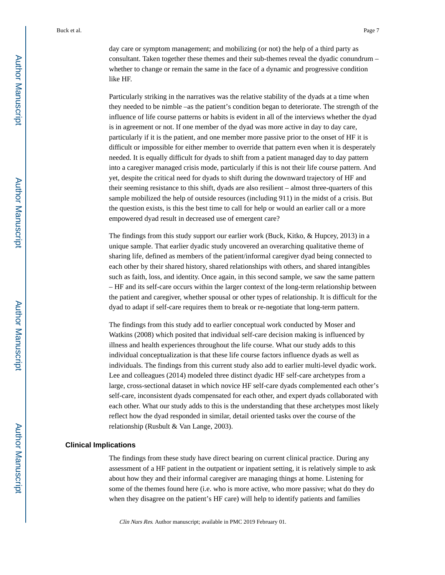day care or symptom management; and mobilizing (or not) the help of a third party as consultant. Taken together these themes and their sub-themes reveal the dyadic conundrum – whether to change or remain the same in the face of a dynamic and progressive condition like HF.

Particularly striking in the narratives was the relative stability of the dyads at a time when they needed to be nimble –as the patient's condition began to deteriorate. The strength of the influence of life course patterns or habits is evident in all of the interviews whether the dyad is in agreement or not. If one member of the dyad was more active in day to day care, particularly if it is the patient, and one member more passive prior to the onset of HF it is difficult or impossible for either member to override that pattern even when it is desperately needed. It is equally difficult for dyads to shift from a patient managed day to day pattern into a caregiver managed crisis mode, particularly if this is not their life course pattern. And yet, despite the critical need for dyads to shift during the downward trajectory of HF and their seeming resistance to this shift, dyads are also resilient – almost three-quarters of this sample mobilized the help of outside resources (including 911) in the midst of a crisis. But the question exists, is this the best time to call for help or would an earlier call or a more empowered dyad result in decreased use of emergent care?

The findings from this study support our earlier work (Buck, Kitko, & Hupcey, 2013) in a unique sample. That earlier dyadic study uncovered an overarching qualitative theme of sharing life, defined as members of the patient/informal caregiver dyad being connected to each other by their shared history, shared relationships with others, and shared intangibles such as faith, loss, and identity. Once again, in this second sample, we saw the same pattern – HF and its self-care occurs within the larger context of the long-term relationship between the patient and caregiver, whether spousal or other types of relationship. It is difficult for the dyad to adapt if self-care requires them to break or re-negotiate that long-term pattern.

The findings from this study add to earlier conceptual work conducted by Moser and Watkins (2008) which posited that individual self-care decision making is influenced by illness and health experiences throughout the life course. What our study adds to this individual conceptualization is that these life course factors influence dyads as well as individuals. The findings from this current study also add to earlier multi-level dyadic work. Lee and colleagues (2014) modeled three distinct dyadic HF self-care archetypes from a large, cross-sectional dataset in which novice HF self-care dyads complemented each other's self-care, inconsistent dyads compensated for each other, and expert dyads collaborated with each other. What our study adds to this is the understanding that these archetypes most likely reflect how the dyad responded in similar, detail oriented tasks over the course of the relationship (Rusbult & Van Lange, 2003).

#### **Clinical Implications**

The findings from these study have direct bearing on current clinical practice. During any assessment of a HF patient in the outpatient or inpatient setting, it is relatively simple to ask about how they and their informal caregiver are managing things at home. Listening for some of the themes found here (i.e. who is more active, who more passive; what do they do when they disagree on the patient's HF care) will help to identify patients and families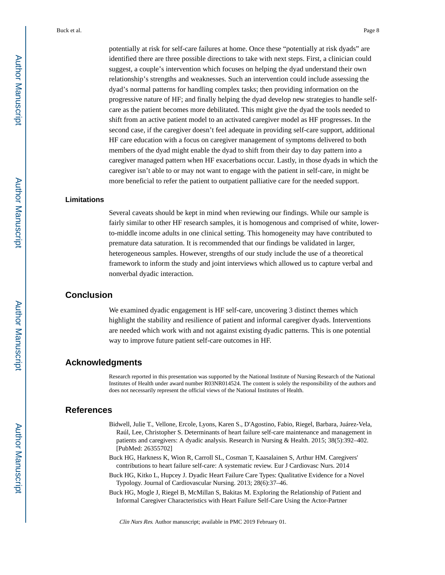potentially at risk for self-care failures at home. Once these "potentially at risk dyads" are identified there are three possible directions to take with next steps. First, a clinician could suggest, a couple's intervention which focuses on helping the dyad understand their own relationship's strengths and weaknesses. Such an intervention could include assessing the dyad's normal patterns for handling complex tasks; then providing information on the progressive nature of HF; and finally helping the dyad develop new strategies to handle selfcare as the patient becomes more debilitated. This might give the dyad the tools needed to shift from an active patient model to an activated caregiver model as HF progresses. In the second case, if the caregiver doesn't feel adequate in providing self-care support, additional HF care education with a focus on caregiver management of symptoms delivered to both members of the dyad might enable the dyad to shift from their day to day pattern into a caregiver managed pattern when HF exacerbations occur. Lastly, in those dyads in which the caregiver isn't able to or may not want to engage with the patient in self-care, in might be more beneficial to refer the patient to outpatient palliative care for the needed support.

#### **Limitations**

Several caveats should be kept in mind when reviewing our findings. While our sample is fairly similar to other HF research samples, it is homogenous and comprised of white, lowerto-middle income adults in one clinical setting. This homogeneity may have contributed to premature data saturation. It is recommended that our findings be validated in larger, heterogeneous samples. However, strengths of our study include the use of a theoretical framework to inform the study and joint interviews which allowed us to capture verbal and nonverbal dyadic interaction.

## **Conclusion**

We examined dyadic engagement is HF self-care, uncovering 3 distinct themes which highlight the stability and resilience of patient and informal caregiver dyads. Interventions are needed which work with and not against existing dyadic patterns. This is one potential way to improve future patient self-care outcomes in HF.

#### **Acknowledgments**

Research reported in this presentation was supported by the National Institute of Nursing Research of the National Institutes of Health under award number R03NR014524. The content is solely the responsibility of the authors and does not necessarily represent the official views of the National Institutes of Health.

## **References**

- Bidwell, Julie T., Vellone, Ercole, Lyons, Karen S., D'Agostino, Fabio, Riegel, Barbara, Juárez-Vela, Raúl, Lee, Christopher S. Determinants of heart failure self-care maintenance and management in patients and caregivers: A dyadic analysis. Research in Nursing & Health. 2015; 38(5):392–402. [PubMed: 26355702]
- Buck HG, Harkness K, Wion R, Carroll SL, Cosman T, Kaasalainen S, Arthur HM. Caregivers' contributions to heart failure self-care: A systematic review. Eur J Cardiovasc Nurs. 2014
- Buck HG, Kitko L, Hupcey J. Dyadic Heart Failure Care Types: Qualitative Evidence for a Novel Typology. Journal of Cardiovascular Nursing. 2013; 28(6):37–46.
- Buck HG, Mogle J, Riegel B, McMillan S, Bakitas M. Exploring the Relationship of Patient and Informal Caregiver Characteristics with Heart Failure Self-Care Using the Actor-Partner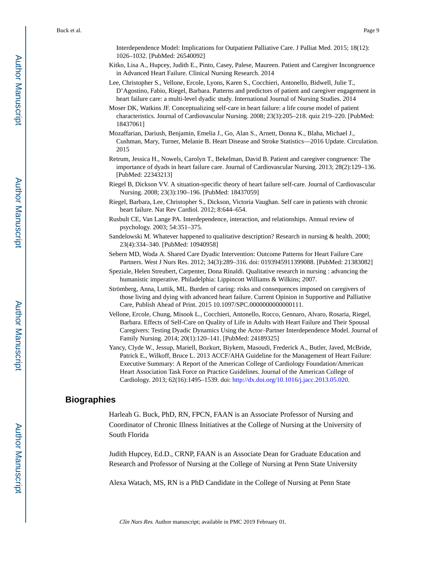Interdependence Model: Implications for Outpatient Palliative Care. J Palliat Med. 2015; 18(12): 1026–1032. [PubMed: 26540092]

- Kitko, Lisa A., Hupcey, Judith E., Pinto, Casey, Palese, Maureen. Patient and Caregiver Incongruence in Advanced Heart Failure. Clinical Nursing Research. 2014
- Lee, Christopher S., Vellone, Ercole, Lyons, Karen S., Cocchieri, Antonello, Bidwell, Julie T., D'Agostino, Fabio, Riegel, Barbara. Patterns and predictors of patient and caregiver engagement in heart failure care: a multi-level dyadic study. International Journal of Nursing Studies. 2014
- Moser DK, Watkins JF. Conceptualizing self-care in heart failure: a life course model of patient characteristics. Journal of Cardiovascular Nursing. 2008; 23(3):205–218. quiz 219–220. [PubMed: 18437061]
- Mozaffarian, Dariush, Benjamin, Emelia J., Go, Alan S., Arnett, Donna K., Blaha, Michael J., Cushman, Mary, Turner, Melanie B. Heart Disease and Stroke Statistics—2016 Update. Circulation. 2015
- Retrum, Jessica H., Nowels, Carolyn T., Bekelman, David B. Patient and caregiver congruence: The importance of dyads in heart failure care. Journal of Cardiovascular Nursing. 2013; 28(2):129–136. [PubMed: 22343213]
- Riegel B, Dickson VV. A situation-specific theory of heart failure self-care. Journal of Cardiovascular Nursing. 2008; 23(3):190–196. [PubMed: 18437059]
- Riegel, Barbara, Lee, Christopher S., Dickson, Victoria Vaughan. Self care in patients with chronic heart failure. Nat Rev Cardiol. 2012; 8:644–654.
- Rusbult CE, Van Lange PA. Interdependence, interaction, and relationships. Annual review of psychology. 2003; 54:351–375.
- Sandelowski M. Whatever happened to qualitative description? Research in nursing & health. 2000; 23(4):334–340. [PubMed: 10940958]
- Sebern MD, Woda A. Shared Care Dyadic Intervention: Outcome Patterns for Heart Failure Care Partners. West J Nurs Res. 2012; 34(3):289–316. doi: 0193945911399088. [PubMed: 21383082]
- Speziale, Helen Streubert, Carpenter, Dona Rinaldi. Qualitative research in nursing : advancing the humanistic imperative. Philadelphia: Lippincott Williams & Wilkins; 2007.
- Strömberg, Anna, Luttik, ML. Burden of caring: risks and consequences imposed on caregivers of those living and dying with advanced heart failure. Current Opinion in Supportive and Palliative Care, Publish Ahead of Print. 2015 10.1097/SPC.0000000000000111.
- Vellone, Ercole, Chung, Misook L., Cocchieri, Antonello, Rocco, Gennaro, Alvaro, Rosaria, Riegel, Barbara. Effects of Self-Care on Quality of Life in Adults with Heart Failure and Their Spousal Caregivers: Testing Dyadic Dynamics Using the Actor–Partner Interdependence Model. Journal of Family Nursing. 2014; 20(1):120–141. [PubMed: 24189325]
- Yancy, Clyde W., Jessup, Mariell, Bozkurt, Biykem, Masoudi, Frederick A., Butler, Javed, McBride, Patrick E., Wilkoff, Bruce L. 2013 ACCF/AHA Guideline for the Management of Heart Failure: Executive Summary: A Report of the American College of Cardiology Foundation/American Heart Association Task Force on Practice Guidelines. Journal of the American College of Cardiology. 2013; 62(16):1495–1539. doi: <http://dx.doi.org/10.1016/j.jacc.2013.05.020>.

## **Biographies**

Harleah G. Buck, PhD, RN, FPCN, FAAN is an Associate Professor of Nursing and Coordinator of Chronic Illness Initiatives at the College of Nursing at the University of South Florida

Judith Hupcey, Ed.D., CRNP, FAAN is an Associate Dean for Graduate Education and Research and Professor of Nursing at the College of Nursing at Penn State University

Alexa Watach, MS, RN is a PhD Candidate in the College of Nursing at Penn State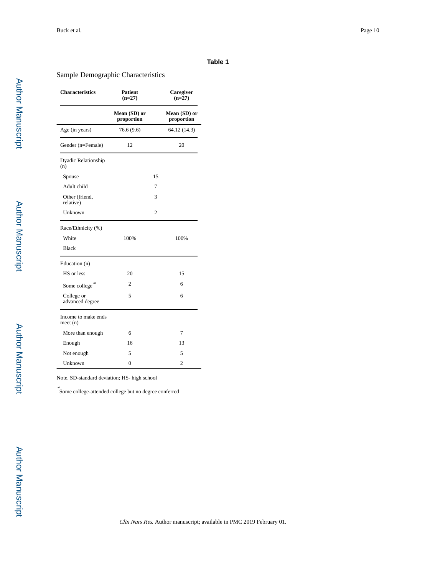#### **Table 1**

### Sample Demographic Characteristics

| <b>Characteristics</b>         | <b>Patient</b><br>$(n=27)$ |    | Caregiver<br>$(n=27)$      |
|--------------------------------|----------------------------|----|----------------------------|
|                                | Mean (SD) or<br>proportion |    | Mean (SD) or<br>proportion |
| Age (in years)                 | 76.6 (9.6)                 |    | 64.12 (14.3)               |
| Gender (n=Female)              | 12                         |    | 20                         |
| Dyadic Relationship<br>(n)     |                            |    |                            |
| Spouse                         |                            | 15 |                            |
| Adult child                    |                            | 7  |                            |
| Other (friend,<br>relative)    |                            | 3  |                            |
| Unknown                        |                            | 2  |                            |
| Race/Ethnicity (%)             |                            |    |                            |
| White                          | 100%                       |    | 100%                       |
| <b>Black</b>                   |                            |    |                            |
| Education (n)                  |                            |    |                            |
| HS or less                     | 20                         |    | 15                         |
| Some college*                  | $\overline{2}$             |    | 6                          |
| College or<br>advanced degree  | 5                          |    | 6                          |
| Income to make ends<br>meet(n) |                            |    |                            |
| More than enough               | 6                          |    | 7                          |
| Enough                         | 16                         |    | 13                         |
| Not enough                     | 5                          |    | 5                          |
| Unknown                        | $\theta$                   |    | $\overline{c}$             |

Note. SD-standard deviation; HS- high school

\* Some college-attended college but no degree conferred